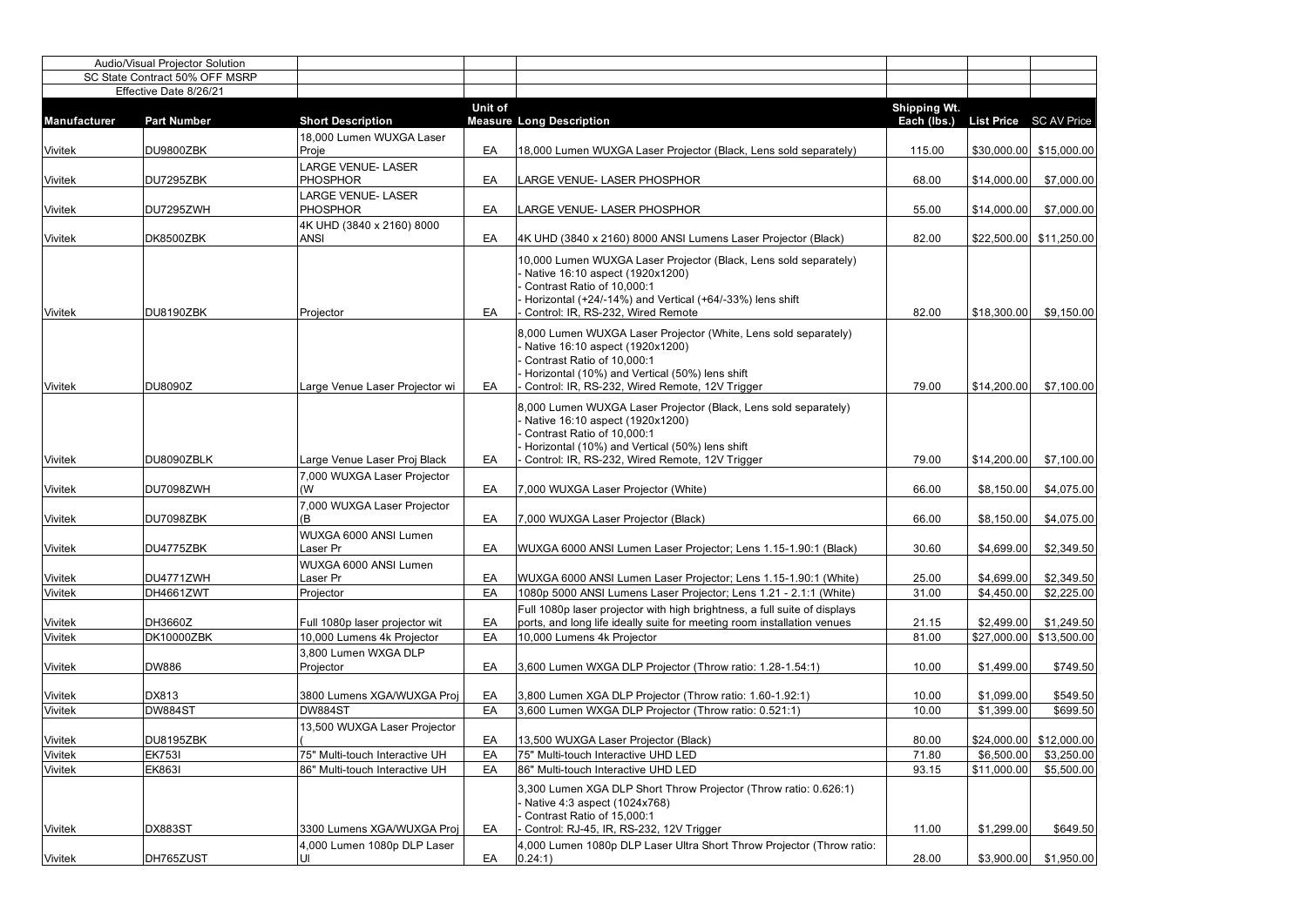|                | <b>Audio/Visual Projector Solution</b> |                                              |                |                                                                                                                                                                                                                                      |                                               |             |                           |
|----------------|----------------------------------------|----------------------------------------------|----------------|--------------------------------------------------------------------------------------------------------------------------------------------------------------------------------------------------------------------------------------|-----------------------------------------------|-------------|---------------------------|
|                | SC State Contract 50% OFF MSRP         |                                              |                |                                                                                                                                                                                                                                      |                                               |             |                           |
|                | Effective Date 8/26/21                 |                                              |                |                                                                                                                                                                                                                                      |                                               |             |                           |
| Manufacturer   | <b>Part Number</b>                     | <b>Short Description</b>                     | <b>Unit of</b> | <b>Measure Long Description</b>                                                                                                                                                                                                      | <b>Shipping Wt.</b><br>Each (lbs.) List Price |             | <b>SC AV Price</b>        |
| <b>Vivitek</b> | DU9800ZBK                              | 18,000 Lumen WUXGA Laser<br>Proje            | EA             | 18,000 Lumen WUXGA Laser Projector (Black, Lens sold separately)                                                                                                                                                                     | 115.00                                        |             | $$30,000.00$ $$15,000.00$ |
|                |                                        | <b>LARGE VENUE- LASER</b>                    |                |                                                                                                                                                                                                                                      |                                               |             |                           |
| <b>Vivitek</b> | DU7295ZBK                              | <b>PHOSPHOR</b>                              | EA             | LARGE VENUE- LASER PHOSPHOR                                                                                                                                                                                                          | 68.00                                         | \$14,000.00 | \$7,000.00                |
| <b>Vivitek</b> | DU7295ZWH                              | <b>LARGE VENUE- LASER</b><br><b>PHOSPHOR</b> | EA             | LARGE VENUE- LASER PHOSPHOR                                                                                                                                                                                                          | 55.00                                         | \$14,000.00 | \$7,000.00                |
| <b>Vivitek</b> | DK8500ZBK                              | 4K UHD (3840 x 2160) 8000<br><b>ANSI</b>     | EA             | 4K UHD (3840 x 2160) 8000 ANSI Lumens Laser Projector (Black)                                                                                                                                                                        | 82.00                                         |             | $$22,500.00$ $$11,250.00$ |
|                |                                        |                                              |                | 10,000 Lumen WUXGA Laser Projector (Black, Lens sold separately)<br>Native 16:10 aspect (1920x1200)<br>Contrast Ratio of 10,000:1<br>Horizontal $(+24/-14%)$ and Vertical $(+64/-33%)$ lens shift                                    |                                               |             |                           |
| <b>Vivitek</b> | DU8190ZBK                              | Projector                                    | EA             | Control: IR, RS-232, Wired Remote                                                                                                                                                                                                    | 82.00                                         | \$18,300.00 | \$9,150.00                |
| <b>Vivitek</b> | <b>DU8090Z</b>                         | Large Venue Laser Projector wi               | EA             | 8,000 Lumen WUXGA Laser Projector (White, Lens sold separately)<br>Native 16:10 aspect (1920x1200)<br>Contrast Ratio of 10,000:1<br>Horizontal (10%) and Vertical (50%) lens shift<br>Control: IR, RS-232, Wired Remote, 12V Trigger | 79.00                                         | \$14,200.00 | \$7,100.00                |
| <b>Vivitek</b> | DU8090ZBLK                             | Large Venue Laser Proj Black                 | EA             | 8,000 Lumen WUXGA Laser Projector (Black, Lens sold separately)<br>Native 16:10 aspect (1920x1200)<br>Contrast Ratio of 10,000:1<br>Horizontal (10%) and Vertical (50%) lens shift<br>Control: IR, RS-232, Wired Remote, 12V Trigger | 79.00                                         | \$14,200.00 | \$7,100.00                |
| <b>Vivitek</b> | DU7098ZWH                              | 7,000 WUXGA Laser Projector<br>(W)           | EA             | 7,000 WUXGA Laser Projector (White)                                                                                                                                                                                                  | 66.00                                         | \$8,150.00  | \$4,075.00                |
|                |                                        | 7,000 WUXGA Laser Projector                  |                |                                                                                                                                                                                                                                      |                                               |             |                           |
| <b>Vivitek</b> | DU7098ZBK                              | (B                                           | EA             | 7,000 WUXGA Laser Projector (Black)                                                                                                                                                                                                  | 66.00                                         | \$8,150.00  | \$4,075.00                |
| <b>Vivitek</b> | DU4775ZBK                              | WUXGA 6000 ANSI Lumen<br>Laser Pr            | EA             | WUXGA 6000 ANSI Lumen Laser Projector; Lens 1.15-1.90:1 (Black)                                                                                                                                                                      | 30.60                                         | \$4,699.00  | \$2,349.50                |
| <b>Vivitek</b> | DU4771ZWH                              | <b>WUXGA 6000 ANSI Lumen</b><br>Laser Pr     | EA             | WUXGA 6000 ANSI Lumen Laser Projector; Lens 1.15-1.90:1 (White)                                                                                                                                                                      | 25.00                                         | \$4,699.00  | \$2,349.50                |
| <b>Vivitek</b> | DH4661ZWT                              | Projector                                    | EA             | 1080p 5000 ANSI Lumens Laser Projector; Lens 1.21 - 2.1:1 (White)                                                                                                                                                                    | 31.00                                         | \$4,450.00  | \$2,225.00                |
| <b>Vivitek</b> | DH3660Z                                | Full 1080p laser projector wit               | EA             | Full 1080p laser projector with high brightness, a full suite of displays<br>ports, and long life ideally suite for meeting room installation venues                                                                                 | 21.15                                         | \$2,499.00  | \$1,249.50                |
| <b>Vivitek</b> | DK10000ZBK                             | 10,000 Lumens 4k Projector                   | EA             | 10,000 Lumens 4k Projector                                                                                                                                                                                                           | 81.00                                         | \$27,000.00 | \$13,500.00               |
| <b>Vivitek</b> | <b>DW886</b>                           | 3,800 Lumen WXGA DLP<br>Projector            | EA             | 3,600 Lumen WXGA DLP Projector (Throw ratio: 1.28-1.54:1)                                                                                                                                                                            | 10.00                                         | \$1,499.00  | \$749.50                  |
| <b>Vivitek</b> | DX813                                  | 3800 Lumens XGA/WUXGA Proj                   | EA             | 3,800 Lumen XGA DLP Projector (Throw ratio: 1.60-1.92:1)                                                                                                                                                                             | 10.00                                         | \$1,099.00  | \$549.50                  |
| <b>Vivitek</b> | <b>DW884ST</b>                         | DW884ST                                      | EA             | 3,600 Lumen WXGA DLP Projector (Throw ratio: 0.521:1)                                                                                                                                                                                | 10.00                                         | \$1,399.00  | \$699.50                  |
|                |                                        | 13,500 WUXGA Laser Projector                 |                |                                                                                                                                                                                                                                      |                                               |             |                           |
| <b>Vivitek</b> | DU8195ZBK                              |                                              | EA             | 13,500 WUXGA Laser Projector (Black)                                                                                                                                                                                                 | 80.00                                         |             | $$24,000.00$ $$12,000.00$ |
| <b>Vivitek</b> | <b>EK753I</b>                          | 75" Multi-touch Interactive UH               | EA             | 75" Multi-touch Interactive UHD LED                                                                                                                                                                                                  | 71.80                                         | \$6,500.00  | \$3,250.00                |
| <b>Vivitek</b> | <b>EK863I</b>                          | 86" Multi-touch Interactive UH               | EA             | 86" Multi-touch Interactive UHD LED                                                                                                                                                                                                  | 93.15                                         | \$11,000.00 | \$5,500.00                |
|                |                                        |                                              |                | 3,300 Lumen XGA DLP Short Throw Projector (Throw ratio: 0.626:1)<br>Native 4:3 aspect (1024x768)<br>Contrast Ratio of 15,000:1                                                                                                       |                                               |             |                           |
| <b>Vivitek</b> | DX883ST                                | 3300 Lumens XGA/WUXGA Proj                   | EA             | Control: RJ-45, IR, RS-232, 12V Trigger                                                                                                                                                                                              | 11.00                                         | \$1,299.00  | \$649.50                  |
| <b>Vivitek</b> | DH765ZUST                              | 4,000 Lumen 1080p DLP Laser<br>UI            | EA             | 4,000 Lumen 1080p DLP Laser Ultra Short Throw Projector (Throw ratio:<br>$ 0.24:1\rangle$                                                                                                                                            | 28.00                                         | \$3,900.00  | \$1,950.00                |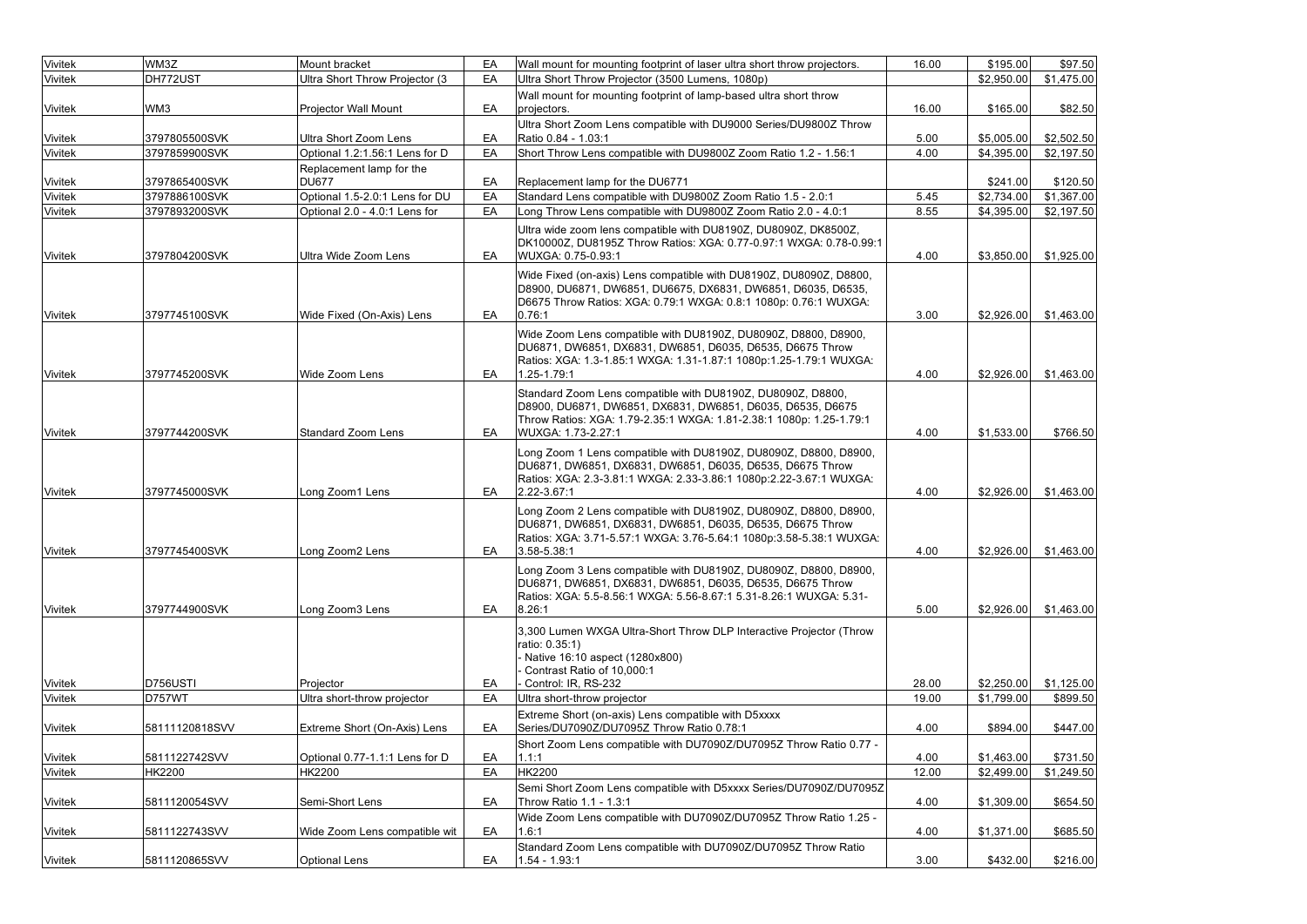| Vivitek        | WM3Z           | Mount bracket                       | EA | Wall mount for mounting footprint of laser ultra short throw projectors.                                                                                                                                                 | 16.00 | \$195.00   | \$97.50    |
|----------------|----------------|-------------------------------------|----|--------------------------------------------------------------------------------------------------------------------------------------------------------------------------------------------------------------------------|-------|------------|------------|
| <b>Vivitek</b> | DH772UST       | Ultra Short Throw Projector (3      | EA | Ultra Short Throw Projector (3500 Lumens, 1080p)                                                                                                                                                                         |       | \$2,950.00 | \$1,475.00 |
|                |                |                                     |    | Wall mount for mounting footprint of lamp-based ultra short throw                                                                                                                                                        |       |            |            |
| <b>Vivitek</b> | WM3            | <b>Projector Wall Mount</b>         | EA | projectors.                                                                                                                                                                                                              | 16.00 | \$165.00   | \$82.50    |
|                |                |                                     |    | Ultra Short Zoom Lens compatible with DU9000 Series/DU9800Z Throw                                                                                                                                                        |       |            |            |
| <b>Vivitek</b> | 3797805500SVK  | Ultra Short Zoom Lens               | EA | Ratio 0.84 - 1.03:1                                                                                                                                                                                                      | 5.00  | \$5,005.00 | \$2,502.50 |
| <b>Vivitek</b> | 3797859900SVK  | Optional 1.2:1.56:1 Lens for D      | EA | Short Throw Lens compatible with DU9800Z Zoom Ratio 1.2 - 1.56:1                                                                                                                                                         | 4.00  | \$4,395.00 | \$2,197.50 |
|                |                | Replacement lamp for the            |    |                                                                                                                                                                                                                          |       |            |            |
| <b>Vivitek</b> | 3797865400SVK  | <b>DU677</b>                        | EA | Replacement lamp for the DU6771                                                                                                                                                                                          |       | \$241.00   | \$120.50   |
| <b>Vivitek</b> | 3797886100SVK  | Optional 1.5-2.0:1 Lens for DU      | EA | Standard Lens compatible with DU9800Z Zoom Ratio 1.5 - 2.0:1                                                                                                                                                             | 5.45  | \$2,734.00 | \$1,367.00 |
| Vivitek        | 3797893200SVK  | Optional 2.0 - 4.0:1 Lens for       | EA | Long Throw Lens compatible with DU9800Z Zoom Ratio 2.0 - 4.0:1                                                                                                                                                           | 8.55  | \$4,395.00 | \$2,197.50 |
| <b>Vivitek</b> | 3797804200SVK  | Ultra Wide Zoom Lens                | EA | Ultra wide zoom lens compatible with DU8190Z, DU8090Z, DK8500Z,<br>DK10000Z, DU8195Z Throw Ratios: XGA: 0.77-0.97:1 WXGA: 0.78-0.99:1<br>WUXGA: 0.75-0.93:1                                                              | 4.00  | \$3,850.00 | \$1,925.00 |
| <b>Vivitek</b> | 3797745100SVK  | Wide Fixed (On-Axis) Lens           | EA | Wide Fixed (on-axis) Lens compatible with DU8190Z, DU8090Z, D8800,<br>D8900, DU6871, DW6851, DU6675, DX6831, DW6851, D6035, D6535,<br>D6675 Throw Ratios: XGA: 0.79:1 WXGA: 0.8:1 1080p: 0.76:1 WUXGA:<br> 0.76:1        | 3.00  | \$2,926.00 | \$1,463.00 |
|                |                |                                     |    |                                                                                                                                                                                                                          |       |            |            |
| <b>Vivitek</b> | 3797745200SVK  | Wide Zoom Lens                      | EA | Wide Zoom Lens compatible with DU8190Z, DU8090Z, D8800, D8900,<br>DU6871, DW6851, DX6831, DW6851, D6035, D6535, D6675 Throw<br>Ratios: XGA: 1.3-1.85:1 WXGA: 1.31-1.87:1 1080p:1.25-1.79:1 WUXGA:<br>1.25-1.79:1         | 4.00  | \$2,926.00 | \$1,463.00 |
| <b>Vivitek</b> | 3797744200SVK  | <b>Standard Zoom Lens</b>           | EA | Standard Zoom Lens compatible with DU8190Z, DU8090Z, D8800,<br>D8900, DU6871, DW6851, DX6831, DW6851, D6035, D6535, D6675<br>Throw Ratios: XGA: 1.79-2.35:1 WXGA: 1.81-2.38:1 1080p: 1.25-1.79:1<br>WUXGA: 1.73-2.27:1   | 4.00  | \$1,533.00 | \$766.50   |
| <b>Vivitek</b> | 3797745000SVK  | Long Zoom1 Lens                     | EA | Long Zoom 1 Lens compatible with DU8190Z, DU8090Z, D8800, D8900,<br>DU6871, DW6851, DX6831, DW6851, D6035, D6535, D6675 Throw<br>Ratios: XGA: 2.3-3.81:1 WXGA: 2.33-3.86:1 1080p:2.22-3.67:1 WUXGA:<br>$ 2.22 - 3.67:1$  | 4.00  | \$2,926.00 | \$1,463.00 |
| <b>Vivitek</b> | 3797745400SVK  | Long Zoom2 Lens                     | EA | Long Zoom 2 Lens compatible with DU8190Z, DU8090Z, D8800, D8900,<br>DU6871, DW6851, DX6831, DW6851, D6035, D6535, D6675 Throw<br>Ratios: XGA: 3.71-5.57:1 WXGA: 3.76-5.64:1 1080p:3.58-5.38:1 WUXGA:<br>$ 3.58 - 5.38:1$ | 4.00  | \$2,926.00 | \$1,463.00 |
| <b>Vivitek</b> | 3797744900SVK  | Long Zoom3 Lens                     | EA | Long Zoom 3 Lens compatible with DU8190Z, DU8090Z, D8800, D8900,<br>DU6871, DW6851, DX6831, DW6851, D6035, D6535, D6675 Throw<br>Ratios: XGA: 5.5-8.56:1 WXGA: 5.56-8.67:1 5.31-8.26:1 WUXGA: 5.31-<br> 8.26:1           | 5.00  | \$2,926.00 | \$1,463.00 |
| <b>Vivitek</b> | D756USTI       | Projector                           | EA | 3,300 Lumen WXGA Ultra-Short Throw DLP Interactive Projector (Throw<br>ratio: 0.35:1)<br>Native 16:10 aspect (1280x800)<br>Contrast Ratio of 10,000:1<br>Control: IR, RS-232                                             | 28.00 | \$2,250.00 | \$1,125.00 |
| <b>Vivitek</b> | D757WT         | Ultra short-throw projector         | EA | Ultra short-throw projector                                                                                                                                                                                              | 19.00 | \$1,799.00 | \$899.50   |
|                |                |                                     |    | Extreme Short (on-axis) Lens compatible with D5xxxx                                                                                                                                                                      |       |            |            |
| <b>Vivitek</b> | 58111120818SVV | <b>Extreme Short (On-Axis) Lens</b> | EA | Series/DU7090Z/DU7095Z Throw Ratio 0.78:1                                                                                                                                                                                | 4.00  | \$894.00   | \$447.00   |
|                |                |                                     |    | Short Zoom Lens compatible with DU7090Z/DU7095Z Throw Ratio 0.77 -                                                                                                                                                       |       |            |            |
| <b>Vivitek</b> | 5811122742SVV  | Optional 0.77-1.1:1 Lens for D      | EA | 1.1:1                                                                                                                                                                                                                    | 4.00  | \$1,463.00 | \$731.50   |
| <b>Vivitek</b> | HK2200         | <b>HK2200</b>                       | EA | <b>HK2200</b>                                                                                                                                                                                                            | 12.00 | \$2,499.00 | \$1,249.50 |
| <b>Vivitek</b> | 5811120054SVV  | Semi-Short Lens                     | EA | Semi Short Zoom Lens compatible with D5xxxx Series/DU7090Z/DU7095Z<br>Throw Ratio 1.1 - 1.3:1                                                                                                                            | 4.00  | \$1,309.00 | \$654.50   |
| <b>Vivitek</b> | 5811122743SVV  | Wide Zoom Lens compatible wit       | EA | Wide Zoom Lens compatible with DU7090Z/DU7095Z Throw Ratio 1.25 -<br>1.6:1                                                                                                                                               | 4.00  | \$1,371.00 | \$685.50   |
| <b>Vivitek</b> | 5811120865SVV  | <b>Optional Lens</b>                | EA | Standard Zoom Lens compatible with DU7090Z/DU7095Z Throw Ratio<br> 1.54 - 1.93:1                                                                                                                                         | 3.00  | \$432.00   | \$216.00   |
|                |                |                                     |    |                                                                                                                                                                                                                          |       |            |            |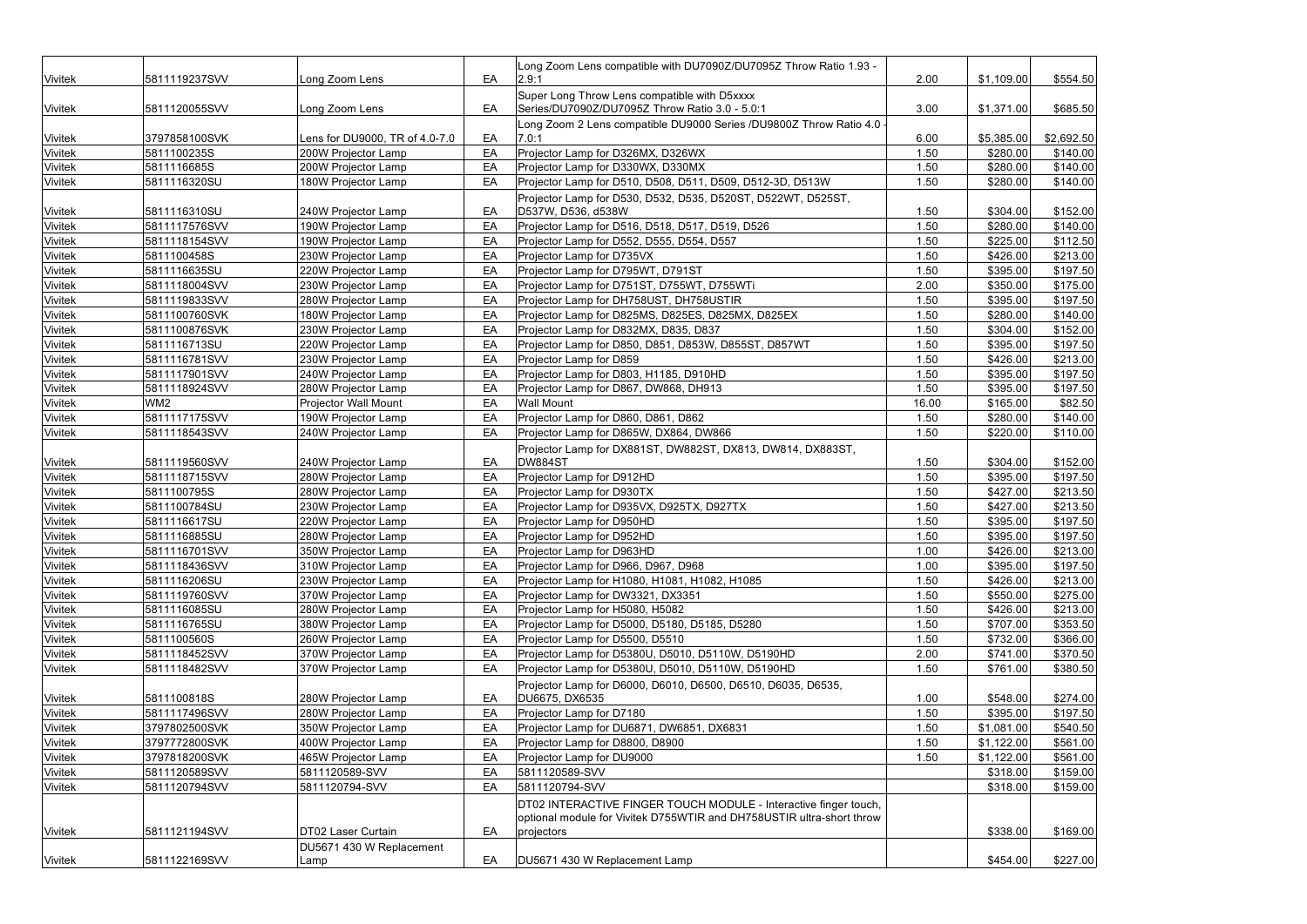| <b>Vivitek</b> | 5811119237SVV   | Long Zoom Lens                 | EA | Long Zoom Lens compatible with DU7090Z/DU7095Z Throw Ratio 1.93 -<br> 2.9:1                    | 2.00  | \$1,109.00 | \$554.50   |
|----------------|-----------------|--------------------------------|----|------------------------------------------------------------------------------------------------|-------|------------|------------|
|                |                 |                                |    |                                                                                                |       |            |            |
| <b>Vivitek</b> | 5811120055SVV   | Long Zoom Lens                 | EA | Super Long Throw Lens compatible with D5xxxx<br>Series/DU7090Z/DU7095Z Throw Ratio 3.0 - 5.0:1 | 3.00  | \$1,371.00 | \$685.50   |
|                |                 |                                |    | Long Zoom 2 Lens compatible DU9000 Series /DU9800Z Throw Ratio 4.0 -                           |       |            |            |
| <b>Vivitek</b> | 3797858100SVK   | Lens for DU9000, TR of 4.0-7.0 | EA | 7.0:1                                                                                          | 6.00  | \$5,385.00 | \$2,692.50 |
| <b>Vivitek</b> | 5811100235S     | 200W Projector Lamp            | EA | Projector Lamp for D326MX, D326WX                                                              | 1.50  | \$280.00   | \$140.00   |
| <b>Vivitek</b> | 5811116685S     | 200W Projector Lamp            | EA | Projector Lamp for D330WX, D330MX                                                              | 1.50  | \$280.00   | \$140.00   |
| <b>Vivitek</b> | 5811116320SU    | 180W Projector Lamp            | EA | Projector Lamp for D510, D508, D511, D509, D512-3D, D513W                                      | 1.50  | \$280.00   | \$140.00   |
|                |                 |                                |    | Projector Lamp for D530, D532, D535, D520ST, D522WT, D525ST,                                   |       |            |            |
| <b>Vivitek</b> | 5811116310SU    | 240W Projector Lamp            | EA | D537W, D536, d538W                                                                             | 1.50  | \$304.00   | \$152.00   |
| <b>Vivitek</b> | 5811117576SVV   | 190W Projector Lamp            | EA | Projector Lamp for D516, D518, D517, D519, D526                                                | 1.50  | \$280.00   | \$140.00   |
| <b>Vivitek</b> | 5811118154SVV   | 190W Projector Lamp            | EA | Projector Lamp for D552, D555, D554, D557                                                      | 1.50  | \$225.00   | \$112.50   |
| <b>Vivitek</b> | 5811100458S     | 230W Projector Lamp            | EA | Projector Lamp for D735VX                                                                      | 1.50  | \$426.00   | \$213.00   |
| <b>Vivitek</b> | 5811116635SU    | 220W Projector Lamp            | EA | Projector Lamp for D795WT, D791ST                                                              | 1.50  | \$395.00   | \$197.50   |
| <b>Vivitek</b> | 5811118004SVV   | 230W Projector Lamp            | EA | Projector Lamp for D751ST, D755WT, D755WTi                                                     | 2.00  | \$350.00   | \$175.00   |
| <b>Vivitek</b> | 5811119833SVV   | 280W Projector Lamp            | EA | Projector Lamp for DH758UST, DH758USTIR                                                        | 1.50  | \$395.00   | \$197.50   |
| <b>Vivitek</b> | 5811100760SVK   | 180W Projector Lamp            | EA | Projector Lamp for D825MS, D825ES, D825MX, D825EX                                              | 1.50  | \$280.00   | \$140.00   |
| <b>Vivitek</b> | 5811100876SVK   | 230W Projector Lamp            | EA | Projector Lamp for D832MX, D835, D837                                                          | 1.50  | \$304.00   | \$152.00   |
| <b>Vivitek</b> | 5811116713SU    | 220W Projector Lamp            | EA | Projector Lamp for D850, D851, D853W, D855ST, D857WT                                           | 1.50  | \$395.00   | \$197.50   |
| <b>Vivitek</b> | 5811116781SVV   | 230W Projector Lamp            | EA | <b>Projector Lamp for D859</b>                                                                 | 1.50  | \$426.00   | \$213.00   |
| <b>Vivitek</b> | 5811117901SVV   | 240W Projector Lamp            | EA | Projector Lamp for D803, H1185, D910HD                                                         | 1.50  | \$395.00   | \$197.50   |
| Vivitek        | 5811118924SVV   | 280W Projector Lamp            | EA | Projector Lamp for D867, DW868, DH913                                                          | 1.50  | \$395.00   | \$197.50   |
| <b>Vivitek</b> | WM <sub>2</sub> | <b>Projector Wall Mount</b>    | EA | <b>Wall Mount</b>                                                                              | 16.00 | \$165.00   | \$82.50    |
| <b>Vivitek</b> | 5811117175SVV   | 190W Projector Lamp            | EA | Projector Lamp for D860, D861, D862                                                            | 1.50  | \$280.00   | \$140.00   |
| <b>Vivitek</b> | 5811118543SVV   | 240W Projector Lamp            | EA | Projector Lamp for D865W, DX864, DW866                                                         | 1.50  | \$220.00]  | \$110.00   |
|                |                 |                                |    | Projector Lamp for DX881ST, DW882ST, DX813, DW814, DX883ST,                                    |       |            |            |
| <b>Vivitek</b> | 5811119560SVV   | 240W Projector Lamp            | EA | DW884ST                                                                                        | 1.50  | \$304.00   | \$152.00   |
| <b>Vivitek</b> | 5811118715SVV   | 280W Projector Lamp            | EA | Projector Lamp for D912HD                                                                      | 1.50  | \$395.00   | \$197.50   |
| <b>Vivitek</b> | 5811100795S     | 280W Projector Lamp            | EA | <b>Projector Lamp for D930TX</b>                                                               | 1.50  | \$427.00   | \$213.50   |
| <b>Vivitek</b> | 5811100784SU    | 230W Projector Lamp            | EA | Projector Lamp for D935VX, D925TX, D927TX                                                      | 1.50  | \$427.00   | \$213.50   |
| <b>Vivitek</b> | 5811116617SU    | 220W Projector Lamp            | EA | Projector Lamp for D950HD                                                                      | 1.50  | \$395.00   | \$197.50   |
| <b>Vivitek</b> | 5811116885SU    | 280W Projector Lamp            | EA | <b>Projector Lamp for D952HD</b>                                                               | 1.50  | \$395.00   | \$197.50   |
| <b>Vivitek</b> | 5811116701SVV   | 350W Projector Lamp            | EA | <b>Projector Lamp for D963HD</b>                                                               | 1.00  | \$426.00   | \$213.00   |
| <b>Vivitek</b> | 5811118436SVV   | 310W Projector Lamp            | EA | Projector Lamp for D966, D967, D968                                                            | 1.00  | \$395.00   | \$197.50   |
| <b>Vivitek</b> | 5811116206SU    | 230W Projector Lamp            | EA | Projector Lamp for H1080, H1081, H1082, H1085                                                  | 1.50  | \$426.00   | \$213.00   |
| <b>Vivitek</b> | 5811119760SVV   | 370W Projector Lamp            | EA | Projector Lamp for DW3321, DX3351                                                              | 1.50  | \$550.00   | \$275.00   |
| <b>Vivitek</b> | 5811116085SU    | 280W Projector Lamp            | EA | Projector Lamp for H5080, H5082                                                                | 1.50  | \$426.00   | \$213.00   |
| <b>Vivitek</b> | 5811116765SU    | 380W Projector Lamp            | EA | Projector Lamp for D5000, D5180, D5185, D5280                                                  | 1.50  | \$707.00   | \$353.50   |
| <b>Vivitek</b> | 5811100560S     | 260W Projector Lamp            | EA | Projector Lamp for D5500, D5510                                                                | 1.50  | \$732.00   | \$366.00   |
| <b>Vivitek</b> | 5811118452SVV   | 370W Projector Lamp            | EA | Projector Lamp for D5380U, D5010, D5110W, D5190HD                                              | 2.00  | \$741.00   | \$370.50   |
| <b>Vivitek</b> | 5811118482SVV   | 370W Projector Lamp            | EA | Projector Lamp for D5380U, D5010, D5110W, D5190HD                                              | 1.50  | \$761.00   | \$380.50   |
| <b>Vivitek</b> | 5811100818S     | 280W Projector Lamp            | EA | Projector Lamp for D6000, D6010, D6500, D6510, D6035, D6535,<br>DU6675, DX6535                 | 1.00  | \$548.00   | \$274.00   |
| <b>Vivitek</b> | 5811117496SVV   | 280W Projector Lamp            | EA | Projector Lamp for D7180                                                                       | 1.50  | \$395.00   | \$197.50   |
| <b>Vivitek</b> | 3797802500SVK   | 350W Projector Lamp            | EA | Projector Lamp for DU6871, DW6851, DX6831                                                      | 1.50  | \$1,081.00 | \$540.50   |
| <b>Vivitek</b> | 3797772800SVK   | 400W Projector Lamp            | EA | Projector Lamp for D8800, D8900                                                                | 1.50  | \$1,122.00 | \$561.00   |
| <b>Vivitek</b> | 3797818200SVK   | 465W Projector Lamp            | EA | <b>Projector Lamp for DU9000</b>                                                               | 1.50  | \$1,122.00 | \$561.00   |
| <b>Vivitek</b> | 5811120589SVV   | 5811120589-SVV                 | EA | 5811120589-SVV                                                                                 |       | \$318.00   | \$159.00   |
| <b>Vivitek</b> | 5811120794SVV   | 5811120794-SVV                 | EA | 5811120794-SVV                                                                                 |       | \$318.00   | \$159.00   |
|                |                 |                                |    | DT02 INTERACTIVE FINGER TOUCH MODULE - Interactive finger touch,                               |       |            |            |
|                |                 |                                |    | optional module for Vivitek D755WTIR and DH758USTIR ultra-short throw                          |       |            |            |
| <b>Vivitek</b> | 5811121194SVV   | DT02 Laser Curtain             | EA | projectors                                                                                     |       | \$338.00   | \$169.00   |
|                |                 | DU5671 430 W Replacement       |    |                                                                                                |       |            |            |
| <b>Vivitek</b> | 5811122169SVV   | Lamp                           | EA | DU5671 430 W Replacement Lamp                                                                  |       | \$454.00   | \$227.00   |
|                |                 |                                |    |                                                                                                |       |            |            |